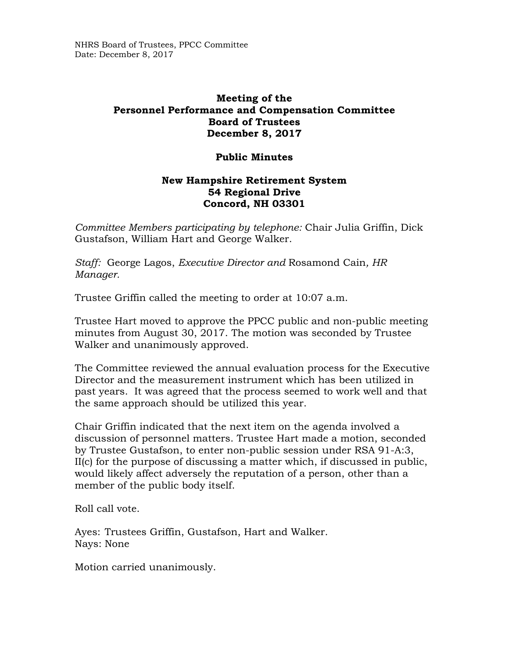## **Meeting of the Personnel Performance and Compensation Committee Board of Trustees December 8, 2017**

## **Public Minutes**

## **New Hampshire Retirement System 54 Regional Drive Concord, NH 03301**

*Committee Members participating by telephone:* Chair Julia Griffin, Dick Gustafson, William Hart and George Walker.

*Staff:* George Lagos, *Executive Director and* Rosamond Cain*, HR Manager.* 

Trustee Griffin called the meeting to order at 10:07 a.m.

Trustee Hart moved to approve the PPCC public and non-public meeting minutes from August 30, 2017. The motion was seconded by Trustee Walker and unanimously approved.

The Committee reviewed the annual evaluation process for the Executive Director and the measurement instrument which has been utilized in past years. It was agreed that the process seemed to work well and that the same approach should be utilized this year.

Chair Griffin indicated that the next item on the agenda involved a discussion of personnel matters. Trustee Hart made a motion, seconded by Trustee Gustafson, to enter non-public session under RSA 91-A:3, II(c) for the purpose of discussing a matter which, if discussed in public, would likely affect adversely the reputation of a person, other than a member of the public body itself.

Roll call vote.

Ayes: Trustees Griffin, Gustafson, Hart and Walker. Nays: None

Motion carried unanimously.